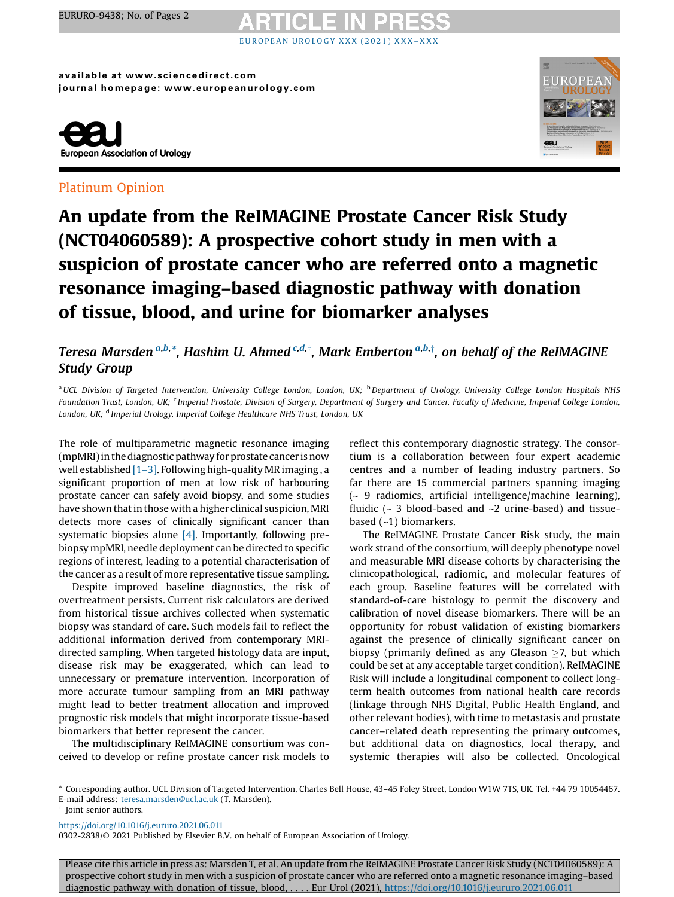# EUROPEA[N](https://doi.org/10.1016/j.eururo.2021.06.011) UROLOGY XXX (2021) XXX-XXX

available at www.sciencedirect.com journal homepage: www.europeanurology.com



### Platinum Opinion



## An update from the ReIMAGINE Prostate Cancer Risk Study (NCT04060589): A prospective cohort study in men with a suspicion of prostate cancer who are referred onto a magnetic resonance imaging–based diagnostic pathway with donation of tissue, blood, and urine for biomarker analyses

### Teresa Marsden<sup>a,b,</sup>\*. Hashim U. Ahmed <sup>c,d,†</sup>. Mark Emberton<sup>a,b,†</sup>. on behalf of the ReIMAGINE Study Group

<sup>a</sup>UCL Division of Targeted Intervention, University College London, London, UK; <sup>b</sup>Department of Urology, University College London Hospitals NHS Foundation Trust, London, UK; <sup>c</sup> Imperial Prostate, Division of Surgery, Department of Surgery and Cancer, Faculty of Medicine, Imperial College London, London, UK; <sup>d</sup> Imperial Urology, Imperial College Healthcare NHS Trust, London, UK

The role of multiparametric magnetic resonance imaging (mpMRI) in the diagnostic pathway for prostate cancer is now well established  $[1-3]$ . Following high-quality MR imaging, a significant proportion of men at low risk of harbouring prostate cancer can safely avoid biopsy, and some studies have shown that in those with a higher clinical suspicion, MRI detects more cases of clinically significant cancer than systematic biopsies alone [\[4\].](#page-1-0) Importantly, following prebiopsy mpMRI, needle deployment can be directed to specific regions of interest, leading to a potential characterisation of the cancer as a result of more representative tissue sampling.

Despite improved baseline diagnostics, the risk of overtreatment persists. Current risk calculators are derived from historical tissue archives collected when systematic biopsy was standard of care. Such models fail to reflect the additional information derived from contemporary MRIdirected sampling. When targeted histology data are input, disease risk may be exaggerated, which can lead to unnecessary or premature intervention. Incorporation of more accurate tumour sampling from an MRI pathway might lead to better treatment allocation and improved prognostic risk models that might incorporate tissue-based biomarkers that better represent the cancer.

The multidisciplinary ReIMAGINE consortium was conceived to develop or refine prostate cancer risk models to

reflect this contemporary diagnostic strategy. The consortium is a collaboration between four expert academic centres and a number of leading industry partners. So far there are 15 commercial partners spanning imaging (~ 9 radiomics, artificial intelligence/machine learning), fluidic ( $\sim$  3 blood-based and  $\sim$ 2 urine-based) and tissuebased (~1) biomarkers.

The ReIMAGINE Prostate Cancer Risk study, the main work strand of the consortium, will deeply phenotype novel and measurable MRI disease cohorts by characterising the clinicopathological, radiomic, and molecular features of each group. Baseline features will be correlated with standard-of-care histology to permit the discovery and calibration of novel disease biomarkers. There will be an opportunity for robust validation of existing biomarkers against the presence of clinically significant cancer on biopsy (primarily defined as any Gleason  $\geq$ 7, but which could be set at any acceptable target condition). ReIMAGINE Risk will include a longitudinal component to collect longterm health outcomes from national health care records (linkage through NHS Digital, Public Health England, and other relevant bodies), with time to metastasis and prostate cancer–related death representing the primary outcomes, but additional data on diagnostics, local therapy, and systemic therapies will also be collected. Oncological

\* Corresponding author. UCL Division of Targeted Intervention, Charles Bell House, 43–45 Foley Street, London W1W 7TS, UK. Tel. +44 79 10054467. E-mail address: [teresa.marsden@ucl.ac.uk](mailto:teresa.marsden@ucl.ac.uk) (T. Marsden).

 $\dagger$  Joint senior authors.

<https://doi.org/10.1016/j.eururo.2021.06.011>

0302-2838/© 2021 Published by Elsevier B.V. on behalf of European Association of Urology.

Please cite this article in press as: Marsden T, et al. An update from the ReIMAGINE Prostate Cancer Risk Study (NCT04060589): A prospective cohort study in men with a suspicion of prostate cancer who are referred onto a magnetic resonance imaging–based diagnostic pathway with donation of tissue, blood, . . . . Eur Urol (2021), <https://doi.org/10.1016/j.eururo.2021.06.011>